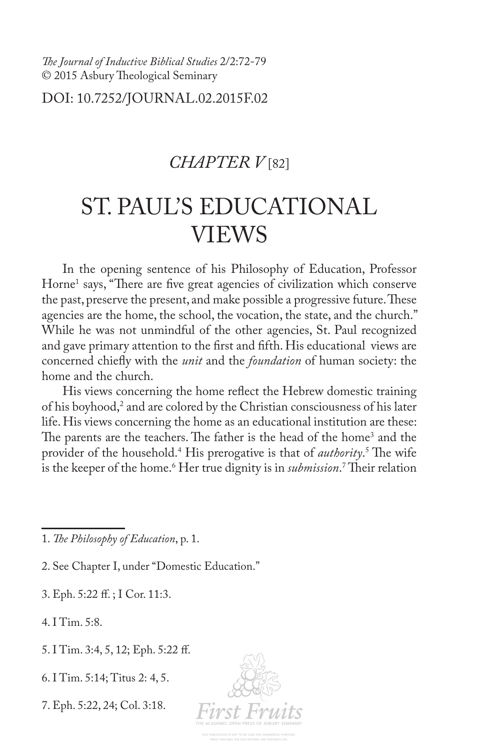*Te Journal of Inductive Biblical Studies* 2/2:72-79 © 2015 Asbury Theological Seminary

DOI: 10.7252/JOURNAL.02.2015F.02

## *CHAPTER V* [82]

## ST. PAUL'S EDUCATIONAL VIEWS

In the opening sentence of his Philosophy of Education, Professor Horne<sup>1</sup> says, "There are five great agencies of civilization which conserve the past, preserve the present, and make possible a progressive future. These agencies are the home, the school, the vocation, the state, and the church." While he was not unmindful of the other agencies, St. Paul recognized and gave primary attention to the frst and ffth. His educational views are concerned chiefy with the *unit* and the *foundation* of human society: the home and the church.

His views concerning the home refect the Hebrew domestic training of his boyhood,<sup>2</sup> and are colored by the Christian consciousness of his later life. His views concerning the home as an educational institution are these: The parents are the teachers. The father is the head of the home<sup>3</sup> and the provider of the household.<sup>4</sup> His prerogative is that of *authority*.<sup>5</sup> The wife is the keeper of the home.<sup>6</sup> Her true dignity is in *submission*.' Their relation

2. See Chapter I, under "Domestic Education."

3. Eph. 5:22 f. ; I Cor. 11:3.

4. I Tim. 5:8.

5. I Tim. 3:4, 5, 12; Eph. 5:22 f.

6. I Tim. 5:14; Titus 2: 4, 5.

7. Eph. 5:22, 24; Col. 3:18.



<sup>1.</sup> *Te Philosophy of Education*, p. 1.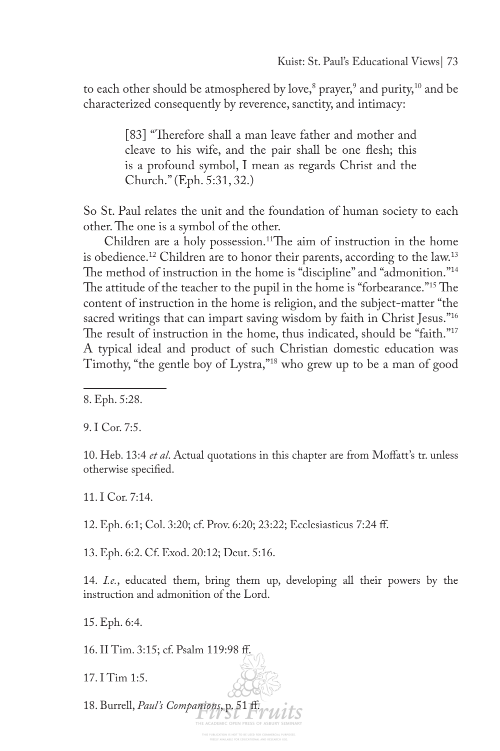to each other should be atmosphered by love, $^{\rm 8}$  prayer, $^{\rm 9}$  and purity, $^{\rm 10}$  and be characterized consequently by reverence, sanctity, and intimacy:

> [83] "Therefore shall a man leave father and mother and cleave to his wife, and the pair shall be one fesh; this is a profound symbol, I mean as regards Christ and the Church." (Eph. 5:31, 32.)

So St. Paul relates the unit and the foundation of human society to each other. The one is a symbol of the other.

Children are a holy possession.<sup>11</sup>The aim of instruction in the home is obedience.<sup>12</sup> Children are to honor their parents, according to the law.<sup>13</sup> The method of instruction in the home is "discipline" and "admonition."<sup>14</sup> The attitude of the teacher to the pupil in the home is "forbearance."<sup>15</sup> The content of instruction in the home is religion, and the subject-matter "the sacred writings that can impart saving wisdom by faith in Christ Jesus."<sup>16</sup> The result of instruction in the home, thus indicated, should be "faith." $17$ A typical ideal and product of such Christian domestic education was Timothy, "the gentle boy of Lystra,"<sup>18</sup> who grew up to be a man of good

9. I Cor. 7:5.

10. Heb. 13:4 *et al*. Actual quotations in this chapter are from Mofatt's tr. unless otherwise specifed.

11. I Cor. 7:14.

12. Eph. 6:1; Col. 3:20; cf. Prov. 6:20; 23:22; Ecclesiasticus 7:24 f.

13. Eph. 6:2. Cf. Exod. 20:12; Deut. 5:16.

14. *I.e.*, educated them, bring them up, developing all their powers by the instruction and admonition of the Lord.

15. Eph. 6:4.

16. II Tim. 3:15; cf. Psalm 119:98 f.

17. I Tim 1:5.

18. Burrell, *Paul's Companions*, p. 51 f.

<sup>8.</sup> Eph. 5:28.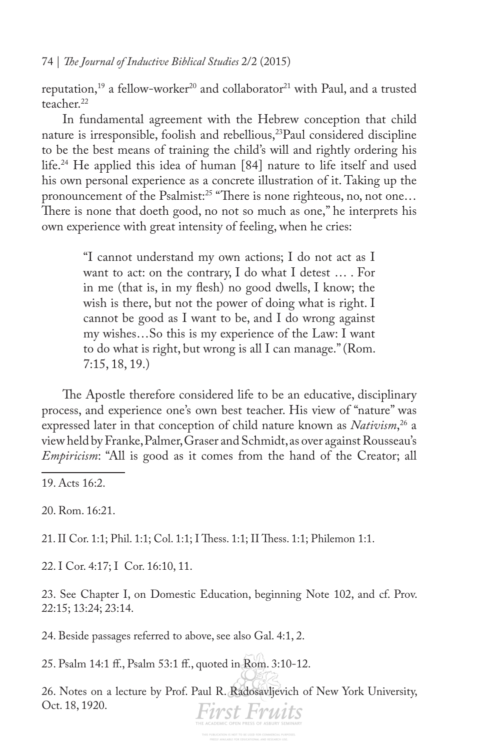reputation,<sup>19</sup> a fellow-worker<sup>20</sup> and collaborator<sup>21</sup> with Paul, and a trusted teacher $22$ 

In fundamental agreement with the Hebrew conception that child nature is irresponsible, foolish and rebellious,<sup>23</sup>Paul considered discipline to be the best means of training the child's will and rightly ordering his life.24 He applied this idea of human [84] nature to life itself and used his own personal experience as a concrete illustration of it. Taking up the pronouncement of the Psalmist:<sup>25</sup> "There is none righteous, no, not one... There is none that doeth good, no not so much as one," he interprets his own experience with great intensity of feeling, when he cries:

> "I cannot understand my own actions; I do not act as I want to act: on the contrary, I do what I detest … . For in me (that is, in my fesh) no good dwells, I know; the wish is there, but not the power of doing what is right. I cannot be good as I want to be, and I do wrong against my wishes…So this is my experience of the Law: I want to do what is right, but wrong is all I can manage." (Rom. 7:15, 18, 19.)

The Apostle therefore considered life to be an educative, disciplinary process, and experience one's own best teacher. His view of "nature" was expressed later in that conception of child nature known as *Nativism*, 26 a view held by Franke, Palmer, Graser and Schmidt, as over against Rousseau's *Empiricism*: "All is good as it comes from the hand of the Creator; all

19. Acts 16:2.

20. Rom. 16:21.

21. II Cor. 1:1; Phil. 1:1; Col. 1:1; I Thess. 1:1; II Thess. 1:1; Philemon 1:1.

22. I Cor. 4:17; I Cor. 16:10, 11.

23. See Chapter I, on Domestic Education, beginning Note 102, and cf. Prov. 22:15; 13:24; 23:14.

24. Beside passages referred to above, see also Gal. 4:1, 2.

25. Psalm 14:1 f., Psalm 53:1 f., quoted in Rom. 3:10-12.

26. Notes on a lecture by Prof. Paul R. Radosavljevich of New York University, Oct. 18, 1920.First Fruits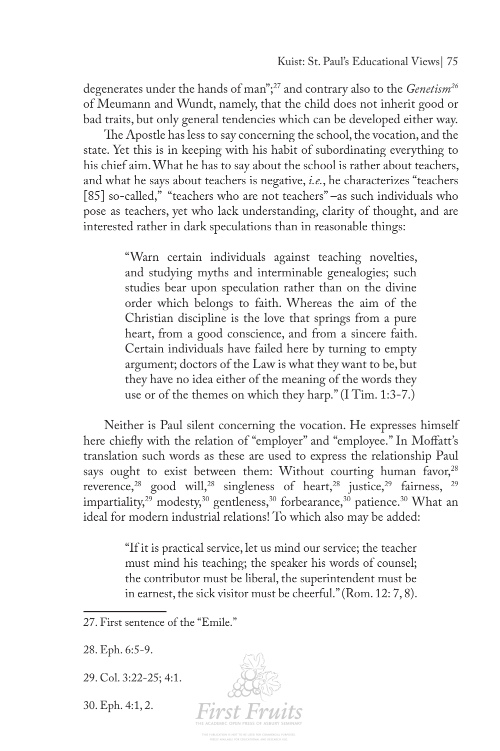degenerates under the hands of man";27 and contrary also to the *Genetism26* of Meumann and Wundt, namely, that the child does not inherit good or bad traits, but only general tendencies which can be developed either way.

The Apostle has less to say concerning the school, the vocation, and the state. Yet this is in keeping with his habit of subordinating everything to his chief aim. What he has to say about the school is rather about teachers, and what he says about teachers is negative, *i.e.*, he characterizes "teachers [85] so-called," "teachers who are not teachers" –as such individuals who pose as teachers, yet who lack understanding, clarity of thought, and are interested rather in dark speculations than in reasonable things:

> "Warn certain individuals against teaching novelties, and studying myths and interminable genealogies; such studies bear upon speculation rather than on the divine order which belongs to faith. Whereas the aim of the Christian discipline is the love that springs from a pure heart, from a good conscience, and from a sincere faith. Certain individuals have failed here by turning to empty argument; doctors of the Law is what they want to be, but they have no idea either of the meaning of the words they use or of the themes on which they harp." (I Tim. 1:3-7.)

Neither is Paul silent concerning the vocation. He expresses himself here chiefy with the relation of "employer" and "employee." In Mofatt's translation such words as these are used to express the relationship Paul says ought to exist between them: Without courting human favor,<sup>28</sup> reverence,<sup>28</sup> good will,<sup>28</sup> singleness of heart,<sup>28</sup> justice,<sup>29</sup> fairness, <sup>29</sup> impartiality,<sup>29</sup> modesty,<sup>30</sup> gentleness,<sup>30</sup> forbearance,<sup>30</sup> patience.<sup>30</sup> What an ideal for modern industrial relations! To which also may be added:

> "If it is practical service, let us mind our service; the teacher must mind his teaching; the speaker his words of counsel; the contributor must be liberal, the superintendent must be in earnest, the sick visitor must be cheerful." (Rom. 12: 7, 8).

28. Eph. 6:5-9.

29. Col. 3:22-25; 4:1.

30. Eph. 4:1, 2.



<sup>27.</sup> First sentence of the "Emile."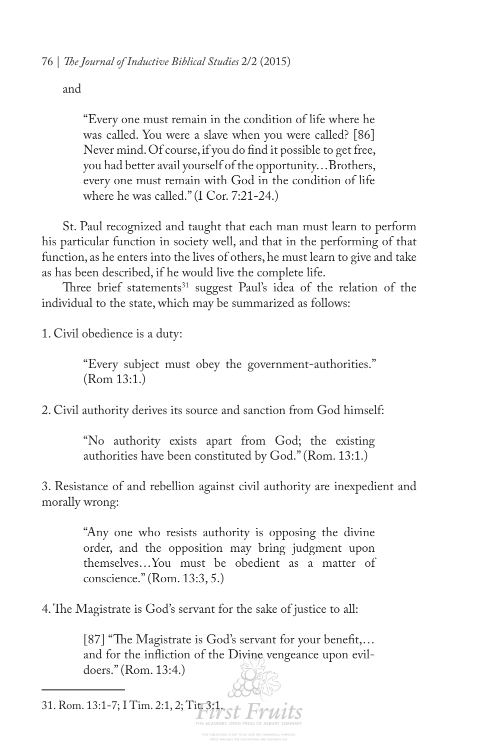and

"Every one must remain in the condition of life where he was called. You were a slave when you were called? [86] Never mind. Of course, if you do fnd it possible to get free, you had better avail yourself of the opportunity…Brothers, every one must remain with God in the condition of life where he was called." (I Cor. 7:21-24.)

St. Paul recognized and taught that each man must learn to perform his particular function in society well, and that in the performing of that function, as he enters into the lives of others, he must learn to give and take as has been described, if he would live the complete life.

Three brief statements $31$  suggest Paul's idea of the relation of the individual to the state, which may be summarized as follows:

1. Civil obedience is a duty:

"Every subject must obey the government-authorities." (Rom 13:1.)

2. Civil authority derives its source and sanction from God himself:

"No authority exists apart from God; the existing authorities have been constituted by God." (Rom. 13:1.)

3. Resistance of and rebellion against civil authority are inexpedient and morally wrong:

> "Any one who resists authority is opposing the divine order, and the opposition may bring judgment upon themselves…You must be obedient as a matter of conscience." (Rom. 13:3, 5.)

4. The Magistrate is God's servant for the sake of justice to all:

 $[87]$  "The Magistrate is God's servant for your benefit,... and for the infiction of the Divine vengeance upon evildoers." (Rom. 13:4.)

31. Rom. 13:1-7; I Tim. 2:1, 2; Titr3:1 Fruits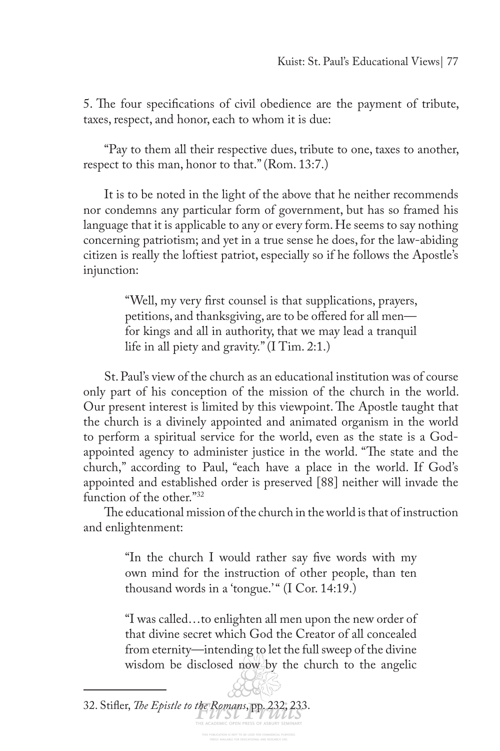5. The four specifications of civil obedience are the payment of tribute, taxes, respect, and honor, each to whom it is due:

"Pay to them all their respective dues, tribute to one, taxes to another, respect to this man, honor to that." (Rom. 13:7.)

It is to be noted in the light of the above that he neither recommends nor condemns any particular form of government, but has so framed his language that it is applicable to any or every form. He seems to say nothing concerning patriotism; and yet in a true sense he does, for the law-abiding citizen is really the loftiest patriot, especially so if he follows the Apostle's injunction:

> "Well, my very frst counsel is that supplications, prayers, petitions, and thanksgiving, are to be offered for all men for kings and all in authority, that we may lead a tranquil life in all piety and gravity." (I Tim. 2:1.)

St. Paul's view of the church as an educational institution was of course only part of his conception of the mission of the church in the world. Our present interest is limited by this viewpoint. The Apostle taught that the church is a divinely appointed and animated organism in the world to perform a spiritual service for the world, even as the state is a Godappointed agency to administer justice in the world. "The state and the church," according to Paul, "each have a place in the world. If God's appointed and established order is preserved [88] neither will invade the function of the other."32

The educational mission of the church in the world is that of instruction and enlightenment:

> "In the church I would rather say fve words with my own mind for the instruction of other people, than ten thousand words in a 'tongue.'" (I Cor. 14:19.)

> "I was called…to enlighten all men upon the new order of that divine secret which God the Creator of all concealed from eternity—intending to let the full sweep of the divine wisdom be disclosed now by the church to the angelic

32. Stifler, *The Epistle to the Romans*, pp. 232, 233.<br>THE ACADEMIC OPEN PRESS OF ASBUR SEMINARY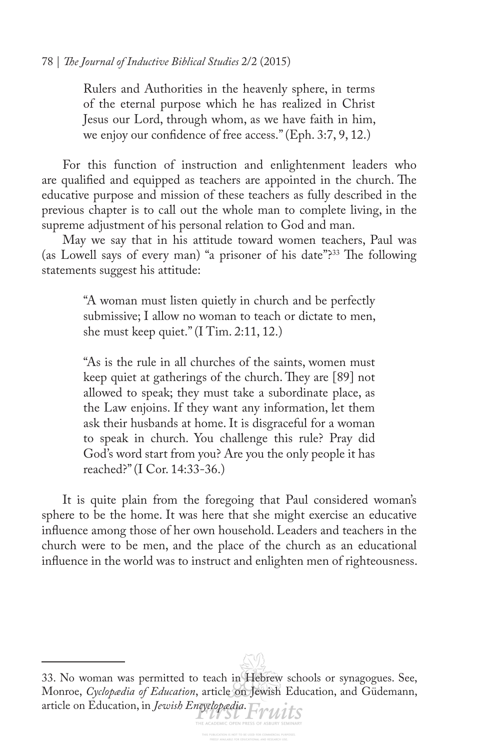Rulers and Authorities in the heavenly sphere, in terms of the eternal purpose which he has realized in Christ Jesus our Lord, through whom, as we have faith in him, we enjoy our confdence of free access." (Eph. 3:7, 9, 12.)

For this function of instruction and enlightenment leaders who are qualified and equipped as teachers are appointed in the church. The educative purpose and mission of these teachers as fully described in the previous chapter is to call out the whole man to complete living, in the supreme adjustment of his personal relation to God and man.

May we say that in his attitude toward women teachers, Paul was (as Lowell says of every man) "a prisoner of his date"?<sup>33</sup> The following statements suggest his attitude:

> "A woman must listen quietly in church and be perfectly submissive; I allow no woman to teach or dictate to men, she must keep quiet." (I Tim. 2:11, 12.)

> "As is the rule in all churches of the saints, women must keep quiet at gatherings of the church. They are [89] not allowed to speak; they must take a subordinate place, as the Law enjoins. If they want any information, let them ask their husbands at home. It is disgraceful for a woman to speak in church. You challenge this rule? Pray did God's word start from you? Are you the only people it has reached?" (I Cor. 14:33-36.)

It is quite plain from the foregoing that Paul considered woman's sphere to be the home. It was here that she might exercise an educative infuence among those of her own household. Leaders and teachers in the church were to be men, and the place of the church as an educational infuence in the world was to instruct and enlighten men of righteousness.

33. No woman was permitted to teach in Hebrew schools or synagogues. See, Monroe, *Cyclopædia of Education*, article on Jewish Education, and Güdemann, article on Education, in *Jewish Encyclopædia*.